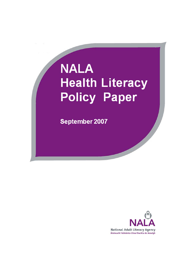# **NALA Health Literacy Policy Paper**

September 2007

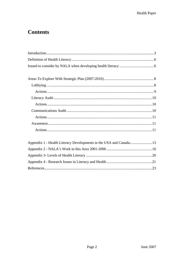# **Contents**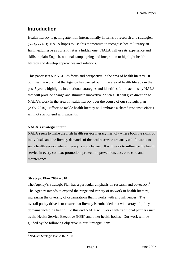# <span id="page-2-0"></span>**Introduction**

Health literacy is getting attention internationally in terms of research and strategies. (See Appendix 1) NALA hopes to use this momentum to recognise health literacy an Irish health issue as currently it is a hidden one. NALA will use its experience and skills in plain English, national campaigning and integration to highlight health literacy and develop approaches and solutions.

This paper sets out NALA's focus and perspective in the area of health literacy. It outlines the work that the Agency has carried out in the area of health literacy in the past 5 years, highlights international strategies and identifies future actions by NALA that will produce change and stimulate innovative policies. It will give direction to NALA's work in the area of health literacy over the course of our strategic plan (2007-2010). Efforts to tackle health literacy will embrace a shared response: efforts will not start or end with patients.

## **NALA's strategic intent**

NALA seeks to make the Irish health service literacy friendly where both the skills of individuals and the literacy demands of the health service are analysed. It wants to see a health service where literacy is not a barrier. It will work to influence the health service in every context: promotion, protection, prevention, access to care and maintenance.

## **Strategic Plan 2007-2010**

The Agency's Strategic Plan has a particular emphasis on research and advocacy.<sup>[1](#page-2-1)</sup> The Agency intends to expand the range and variety of its work in health literacy, increasing the diversity of organisations that it works with and influences. The overall policy drive is to ensure that literacy is embedded in a wide array of policy domains including health. To this end NALA will work with traditional partners such as the Health Service Executive (HSE) and other health bodies. Our work will be guided by the following objective in our Strategic Plan:

<span id="page-2-1"></span><sup>1</sup> <sup>1</sup> NALA's Strategic Plan 2007-2010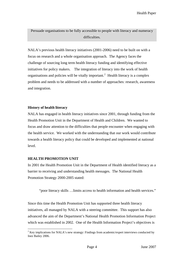Persuade organisations to be fully accessible to people with literacy and numeracy difficulties*.* 

NALA's previous health literacy initiatives (2001-2006) need to be built on with a focus on research and a whole organisation approach. The Agency faces the challenge of sourcing long term health literacy funding and identifying effective initiatives for policy makers. The integration of literacy into the work of health organisations and policies will be vitally important.<sup>[2](#page-3-0)</sup> Health literacy is a complex problem and needs to be addressed with a number of approaches: research, awareness and integration.

#### **History of health literacy**

NALA has engaged in health literacy initiatives since 2001, through funding from the Health Promotion Unit in the Department of Health and Children. We wanted to focus and draw attention to the difficulties that people encounter when engaging with the health service. We worked with the understanding that our work would contribute towards a health literacy policy that could be developed and implemented at national level.

## **HEALTH PROMOTION UNIT**

<u>.</u>

In 2001 the Health Promotion Unit in the Department of Health identified literacy as a barrier to receiving and understanding health messages. The National Health Promotion Strategy 2000-2005 stated:

"poor literacy skills …limits access to health information and health services."

Since this time the Health Promotion Unit has supported three health literacy initiatives, all managed by NALA with a steering committee. This support has also advanced the aim of the Department's National Health Promotion Information Project which was established in 2002. One of the Health Information Project's objectives is

<span id="page-3-0"></span> $2$  Key implications for NALA's new strategy: Findings from academic/expert interviews conducted by Inez Bailey 2006.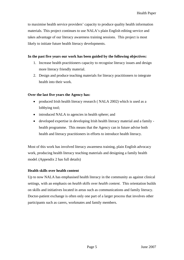to maximise health service providers' capacity to produce quality health information materials. This project continues to use NALA's plain English editing service and takes advantage of our literacy awareness training sessions. This project is most likely to initiate future health literacy developments.

## **In the past five years our work has been guided by the following objectives:**

- 1. Increase health practitioners capacity to recognise literacy issues and design more literacy friendly material.
- 2. Design and produce teaching materials for literacy practitioners to integrate health into their work.

## **Over the last five years the Agency has:**

- produced Irish health literacy research ( NALA 2002) which is used as a lobbying tool;
- introduced NALA to agencies in health sphere; and
- developed expertise in developing Irish health literacy material and a family health programme. This means that the Agency can in future advise both health and literacy practitioners in efforts to introduce health literacy.

Most of this work has involved literacy awareness training, plain English advocacy work, producing health literacy teaching materials and designing a family health model. (Appendix 2 has full details)

## **Health skills over health content**

Up to now NALA has emphasised health literacy in the community as against clinical settings, with an emphasis on *health skills* over *health content*. This orientation builds on skills and initiatives located in areas such as communications and family literacy. Doctor-patient exchange is often only one part of a larger process that involves other participants such as carers, workmates and family members.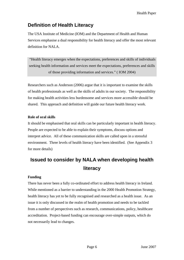# <span id="page-5-0"></span>**Definition of Health Literacy**

The USA Institute of Medicine (IOM) and the Department of Health and Human Services emphasise a dual responsibility for health literacy and offer the most relevant definition for NALA.

 "Health literacy emerges when the expectations, preferences and skills of individuals seeking health information and services meet the expectations, preferences and skills of those providing information and services." ( IOM 2004)

Researchers such as Anderson (2006) argue that it is important to examine the skills of health professionals as well as the skills of adults in our society. The responsibility for making health activities less burdensome and services more accessible should be shared. This approach and definition will guide our future health literacy work.

## **Role of oral skills**

It should be emphasised that oral skills can be particularly important in health literacy. People are expected to be able to explain their symptoms, discuss options and interpret advice. All of these communication skills are called upon in a stressful environment. Three levels of health literacy have been identified. (See Appendix 3 for more details)

# **Issued to consider by NALA when developing health literacy**

## **Funding**

There has never been a fully co-ordinated effort to address health literacy in Ireland. While mentioned as a barrier to understanding in the 2000 Health Promotion Strategy, health literacy has yet to be fully recognised and researched as a health issue. As an issue it is only discussed in the realm of health promotion and needs to be tackled from a number of perspectives such as research, communications, policy, healthcare accreditation. Project-based funding can encourage over-simple outputs, which do not necessarily lead to changes.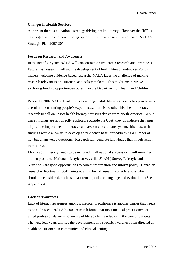#### **Changes in Health Services**

At present there is no national strategy driving health literacy. However the HSE is a new organisation and new funding opportunities may arise in the course of NALA's Strategic Plan 2007-2010.

#### **Focus on Research and Awareness**

In the next four years NALA will concentrate on two areas: research and awareness. Future Irish research will aid the development of health literacy initiatives Policy makers welcome evidence-based research. NALA faces the challenge of making research relevant to practitioners and policy makers. This might mean NALA exploring funding opportunities other than the Department of Health and Children.

While the 2002 NALA Health Survey amongst adult literacy students has proved very useful in documenting people's experiences, there is no other Irish health literacy research to call on. Most health literacy statistics derive from North America. While these findings are not directly applicable outside the USA, they do indicate the range of possible impacts health literacy can have on a healthcare system. Irish research findings would allow us to develop an "evidence base" for addressing a number of key but unanswered questions. Research will generate knowledge that impels action in this area.

Ideally adult literacy needs to be included in all national surveys or it will remain a hidden problem. National lifestyle surveys like SLAN ( Survey Lifestyle and Nutrition ) are good opportunities to collect information and inform policy. Canadian researcher Rootman (2004) points to a number of research considerations which should be considered, such as measurement, culture, language and evaluation. (See Appendix 4)

#### **Lack of Awareness**

Lack of literacy awareness amongst medical practitioners is another barrier that needs to be addressed. NALA's 2001 research found that most medical practitioners or allied professionals were not aware of literacy being a factor in the care of patients. The next four years will see the development of a specific awareness plan directed at health practitioners in community and clinical settings.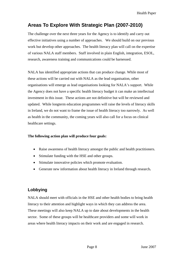# <span id="page-7-0"></span>**Areas To Explore With Strategic Plan (2007-2010)**

The challenge over the next three years for the Agency is to identify and carry out effective initiatives using a number of approaches. We should build on our previous work but develop other approaches. The health literacy plan will call on the expertise of various NALA staff members. Staff involved in plain English, integration, ESOL, research, awareness training and communications could be harnessed.

NALA has identified appropriate actions that can produce change. While most of these actions will be carried out with NALA as the lead organisation, other organisations will emerge as lead organisations looking for NALA's support. While the Agency does not have a specific health literacy budget it can make an intellectual investment in this issue. These actions are not definitive but will be reviewed and updated. While longterm education programmes will raise the levels of literacy skills in Ireland, we do not want to frame the issue of health literacy too narrowly. As well as health in the community, the coming years will also call for a focus on clinical healthcare settings.

## **The following action plan will produce four goals:**

- Raise awareness of health literacy amongst the public and health practitioners.
- Stimulate funding with the HSE and other groups.
- Stimulate innovative policies which promote evaluation.
- Generate new information about health literacy in Ireland through research**.**

# **Lobbying**

NALA should meet with officials in the HSE and other health bodies to bring health literacy to their attention and highlight ways in which they can address the area. These meetings will also keep NALA up to date about developments in the health sector. Some of these groups will be healthcare providers and some will work in areas where health literacy impacts on their work and are engaged in research.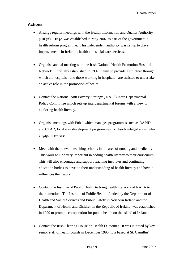## <span id="page-8-0"></span>**Actions**

- Arrange regular meetings with the Health Information and Quality Authority (HIQA). HIQA was established in May 2007 as part of the government's health reform programme. This independent authority was set up to drive improvements in Ireland's health and social care services.
- Organise annual meeting with the Irish National Health Promotion Hospital Network. Officially established in 1997 it aims to provide a structure through which all hospitals - and those working in hospitals - are assisted to undertake an active role in the promotion of health.
- Contact the National Anti Poverty Strategy (NAPS) Inter-Departmental Policy Committee which sets up interdepartmental forums with a view to exploring health literacy.
- Organise meetings with Pobal which manages programmes such as RAPID and CLAR, local area development programmes for disadvantaged areas, who engage in research.
- Meet with the relevant teaching schools in the area of nursing and medicine. This work will be very important in adding health literacy to their curriculum. This will also encourage and support teaching institutes and continuing education bodies to develop their understanding of health literacy and how it influences their work.
- Contact the Institute of Public Health to bring health literacy and NALA to their attention. The Institute of Public Health, funded by the Department of Health and Social Services and Public Safety in Northern Ireland and the Department of Health and Children in the Republic of Ireland, was established in 1999 to promote co-operation for public health on the island of Ireland.
- Contact the Irish Clearing House on Health Outcomes. It was initiated by key senior staff of health boards in December 1995. It is based at St. Camillus'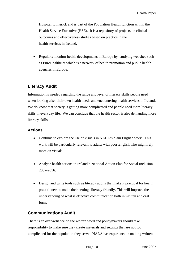<span id="page-9-0"></span>Hospital, Limerick and is part of the Population Health function within the Health Service Executive (HSE). It is a repository of projects on clinical outcomes and effectiveness studies based on practice in the health services in Ireland.

• Regularly monitor health developments in Europe by studying websites such as EuroHealthNet which is a network of health promotion and public health agencies in Europe.

# **Literacy Audit**

Information is needed regarding the range and level of literacy skills people need when looking after their own health needs and encountering health services in Ireland. We do know that society is getting more complicated and people need more literacy skills in everyday life. We can conclude that the health sector is also demanding more literacy skills.

# **Actions**

- Continue to explore the use of visuals in NALA's plain English work. This work will be particularly relevant to adults with poor English who might rely more on visuals.
- Analyse health actions in Ireland's National Action Plan for Social Inclusion 2007-2016.
- Design and write tools such as literacy audits that make it practical for health practitioners to make their settings literacy friendly. This will improve the understanding of what is effective communication both in written and oral form.

# **Communications Audit**

There is an over-reliance on the written word and policymakers should take responsibility to make sure they create materials and settings that are not too complicated for the population they serve. NALA has experience in making written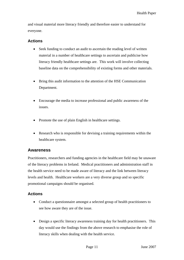<span id="page-10-0"></span>and visual material more literacy friendly and therefore easier to understand for everyone.

## **Actions**

- Seek funding to conduct an audit to ascertain the reading level of written material in a number of healthcare settings to ascertain and publicise how literacy friendly healthcare settings are. This work will involve collecting baseline data on the comprehensibility of existing forms and other materials.
- Bring this audit information to the attention of the HSE Communication Department.
- Encourage the media to increase professional and public awareness of the issues.
- Promote the use of plain English in healthcare settings.
- Research who is responsible for devising a training requirements within the healthcare system.

# **Awareness**

Practitioners, researchers and funding agencies in the healthcare field may be unaware of the literacy problems in Ireland. Medical practitioners and administration staff in the health service need to be made aware of literacy and the link between literacy levels and health. Healthcare workers are a very diverse group and so specific promotional campaigns should be organised.

# **Actions**

- Conduct a questionnaire amongst a selected group of health practitioners to see how aware they are of the issue.
- Design a specific literacy awareness training day for health practitioners. This day would use the findings from the above research to emphasise the role of literacy skills when dealing with the health service.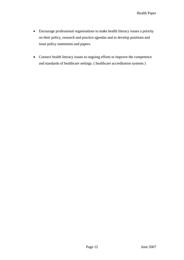- Encourage professional organisations to make health literacy issues a priority on their policy, research and practice agendas and to develop positions and issue policy statements and papers.
- Connect health literacy issues to ongoing efforts to improve the competence and standards of healthcare settings. ( healthcare accreditation systems )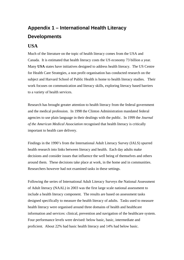# <span id="page-12-0"></span>**Appendix 1 – International Health Literacy Developments**

# **USA**

Much of the literature on the topic of health literacy comes from the USA and Canada. It is estimated that health literacy costs the US economy 73 billion a year. Many **USA** states have initiatives designed to address health literacy. The US Centre for Health Care Strategies, a non profit organisation has conducted research on the subject and Harvard School of Public Health is home to health literacy studies. Their work focuses on communication and literacy skills, exploring literacy based barriers to a variety of health services.

Research has brought greater attention to health literacy from the federal government and the medical profession. In 1998 the Clinton Administration mandated federal agencies to use plain language in their dealings with the public. In 1999 the *Journal of the American Medical Association* recognised that health literacy is critically important to health care delivery.

Findings in the 1990's from the International Adult Literacy Survey (IALS) spurred health research into links between literacy and health. Each day adults make decisions and consider issues that influence the well being of themselves and others around them. These decisions take place at work, in the home and in communities. Researchers however had not examined tasks in these settings.

Following the series of International Adult Literacy Surveys the National Assessment of Adult literacy (NAAL) in 2003 was the first large scale national assessment to include a health literacy component. The results are based on assessment tasks designed specifically to measure the health literacy of adults. Tasks used to measure health literacy were organised around three domains of health and healthcare information and services: clinical, prevention and navigation of the healthcare system. Four performance levels were devised: below basic, basic, intermediate and proficient. About 22% had basic health literacy and 14% had below basic.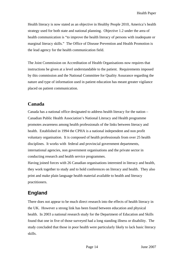Health literacy is now stated as an objective in Healthy People 2010, America's health strategy used for both state and national planning. Objective 1.2 under the area of health communication is "to improve the health literacy of persons with inadequate or marginal literacy skills." The Office of Disease Prevention and Health Promotion is the lead agency for the health communication field.

The Joint Commission on Accreditation of Health Organisations now requires that instructions be given at a level understandable to the patient. Requirements imposed by this commission and the National Committee for Quality Assurance regarding the nature and type of information used in patient education has meant greater vigilance placed on patient communication.

# **Canada**

Canada has a national office designated to address health literacy for the nation – Canadian Public Health Association's National Literacy and Health programme promotes awareness among health professionals of the links between literacy and health. Established in 1994 the CPHA is a national independent and non profit voluntary organisation. It is composed of health professionals from over 25 health disciplines. It works with federal and provincial government departments, international agencies, non government organisations and the private sector in conducting research and health service programmes.

Having joined forces with 26 Canadian organisations interested in literacy and health, they work together to study and to hold conferences on literacy and health. They also print and make plain language health material available to health and literacy practitioners.

# **England**

There does not appear to be much direct research into the effects of health literacy in the UK. However a strong link has been found between education and physical health. In 2003 a national research study for the Department of Education and Skills found that one in five of those surveyed had a long standing illness or disability. The study concluded that those in poor health were particularly likely to lack basic literacy skills.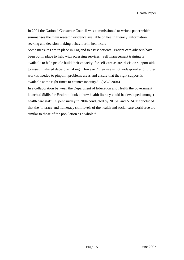In 2004 the National Consumer Council was commissioned to write a paper which summarises the main research evidence available on health literacy, information seeking and decision making behaviour in healthcare.

Some measures are in place in England to assist patients. Patient care advisers have been put in place to help with accessing services. Self management training is available to help people build their capacity for self-care as are decision support aids to assist in shared decision-making. However "their use is not widespread and further work is needed to pinpoint problems areas and ensure that the right support is available at the right times to counter inequity." (NCC 2004)

In a collaboration between the Department of Education and Health the government launched Skills for Health to look at how health literacy could be developed amongst health care staff. A joint survey in 2004 conducted by NHSU and NIACE concluded that the "literacy and numeracy skill levels of the health and social care workforce are similar to those of the population as a whole."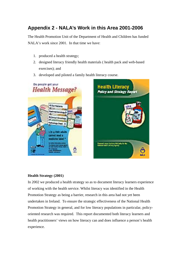# <span id="page-15-0"></span>**Appendix 2 - NALA's Work in this Area 2001-2006**

The Health Promotion Unit of the Department of Health and Children has funded NALA's work since 2001. In that time we have:

- 1. produced a health strategy;
- 2. designed literacy friendly health materials ( health pack and web-based exercises); and
- 3. developed and piloted a family health literacy course.





## **Health Strategy (2001)**

In 2002 we produced a health strategy so as to document literacy learners experience of working with the health service. Whilst literacy was identified in the Health Promotion Strategy as being a barrier, research in this area had not yet been undertaken in Ireland. To ensure the strategic effectiveness of the National Health Promotion Strategy in general, and for low literacy populations in particular, policyoriented research was required. This report documented both literacy learners and health practitioners' views on how literacy can and does influence a person's health experience.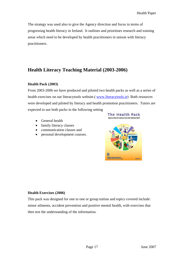The strategy was used also to give the Agency direction and focus in terms of progressing health literacy in Ireland. It outlines and prioritises research and training areas which need to be developed by health practitioners in unison with literacy practitioners.

# **Health Literacy Teaching Material (2003-2006)**

## **Health Pack (2003)**

From 2003-2006 we have produced and piloted two health packs as well as a series of health exercises on our literacytools website.( [www.literacytools.ie](http://www.literacytools.ie/)) Both resources were developed and piloted by literacy and health promotion practitioners. Tutors are expected to use both packs in the following setting

- General health
- family literacy classes
- communication classes and
- personal development courses.





## **Health Exercises (2006)**

This pack was designed for one to one or group tuition and topics covered include: minor ailments, accident prevention and positive mental health, with exercises that then test the understanding of the information.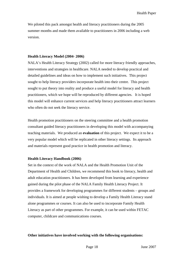We piloted this pack amongst health and literacy practitioners during the 2005 summer months and made them available to practitioners in 2006 including a web version.

#### **Health Literacy Model (2004- 2006)**

NALA's Health Literacy Strategy (2002) called for more literacy friendly approaches, interventions and strategies in healthcare. NALA needed to develop practical and detailed guidelines and ideas on how to implement such initiatives. This project sought to help literacy providers incorporate health into their centre. This project sought to put theory into reality and produce a useful model for literacy and health practitioners, which we hope will be reproduced by different agencies. It is hoped this model will enhance current services and help literacy practitioners attract learners who often do not seek the literacy service.

Health promotion practitioners on the steering committee and a health promotion consultant guided literacy practitioners in developing this model with accompanying teaching materials. We produced an **evaluation** of this project. We expect it to be a very popular model which will be replicated in other literacy settings. Its approach and materials represent good practice in health promotion and literacy.

## **Health Literacy Handbook (2006)**

Set in the context of the work of NALA and the Health Promotion Unit of the Department of Health and Children, we recommend this book to literacy, health and adult education practitioners. It has been developed from learning and experience gained during the pilot phase of the NALA Family Health Literacy Project. It provides a framework for developing programmes for different students – groups and individuals. It is aimed at people wishing to develop a Family Health Literacy stand alone programmes or courses. It can also be used to incorporate Family Health Literacy as part of other programmes. For example, it can be used within FETAC computer, childcare and communications courses.

## **Other initiatives have involved working with the following organisations:**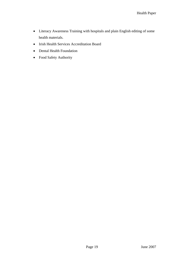- Literacy Awareness Training with hospitals and plain English editing of some health materials.
- Irish Health Services Accreditation Board
- Dental Health Foundation
- Food Safety Authority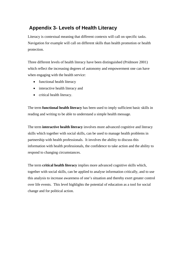# <span id="page-19-0"></span>**Appendix 3- Levels of Health Literacy**

Literacy is contextual meaning that different contexts will call on specific tasks. Navigation for example will call on different skills than health promotion or health protection.

Three different levels of health literacy have been distinguished (Pridmore 2001) which reflect the increasing degrees of autonomy and empowerment one can have when engaging with the health service:

- functional health literacy
- interactive health literacy and
- critical health literacy.

The term **functional health literacy** has been used to imply sufficient basic skills in reading and writing to be able to understand a simple health message.

The term **interactive health literacy** involves more advanced cognitive and literacy skills which together with social skills, can be used to manage health problems in partnership with health professionals. It involves the ability to discuss this information with health professionals, the confidence to take action and the ability to respond to changing circumstances.

The term **critical health literacy** implies more advanced cognitive skills which, together with social skills, can be applied to analyse information critically, and to use this analysis to increase awareness of one's situation and thereby exert greater control over life events. This level highlights the potential of education as a tool for social change and for political action.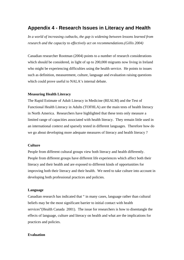# <span id="page-20-0"></span>**Appendix 4 - Research Issues in Literacy and Health**

*In a world of increasing cutbacks, the gap is widening between lessons learned from research and the capacity to effectively act on recommendations.(Gillis 2004)* 

Canadian researcher Rootman (2004) points to a number of research considerations which should be considered, in light of up to 200,000 migrants now living in Ireland who might be experiencing difficulties using the health service. He points to issues such as definition, measurement, culture, language and evaluation raising questions which could prove useful to NALA's internal debate.

#### **Measuring Health Literacy**

The Rapid Estimate of Adult Literacy in Medicine (REALM) and the Test of Functional Health Literacy in Adults (TOFHLA) are the main tests of health literacy in North America. Researchers have highlighted that these tests only measure a limited range of capacities associated with health literacy. They remain little used in an international context and sparsely tested in different languages. Therefore how do we go about developing more adequate measures of literacy and health literacy ?

#### **Culture**

People from different cultural groups view both literacy and health differently. People from different groups have different life experiences which affect both their literacy and their health and are exposed to different kinds of opportunities for improving both their literacy and their health. We need to take culture into account in developing both professional practices and policies.

#### **Language**

Canadian research has indicated that " in many cases, language rather than cultural beliefs may be the most significant barrier to initial contact with health services"(Health Canada 2001). The issue for researchers is how to disentangle the effects of language, culture and literacy on health and what are the implications for practices and policies.

#### **Evaluation**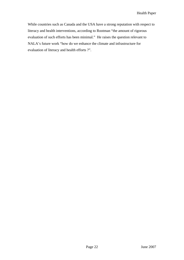While countries such as Canada and the USA have a strong reputation with respect to literacy and health interventions, according to Rootman "the amount of rigorous evaluation of such efforts has been minimal." He raises the question relevant to NALA's future work "how do we enhance the climate and infrastructure for evaluation of literacy and health efforts ?".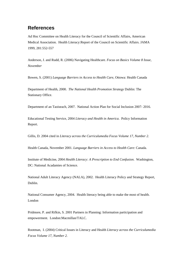# <span id="page-22-0"></span>**References**

Ad Hoc Committee on Health Literacy for the Council of Scientific Affairs, American Medical Association. Health Literacy:Report of the Council on Scientific Affairs. JAMA 1999, 281:552-557

Anderson, J. and Rudd, R. (2006) Navigating Healthcare. *Focus on Basics Volume 8 Issue, November* 

Bowen, S. (2001) *Language Barriers in Access to Health Care,* Ottowa: Health Canada

Department of Health, 2000. *The National Health Promotion Strategy* Dublin: The Stationary Office.

Department of an Taoiseach, 2007. National Action Plan for Social Inclusion 2007- 2016.

Educational Testing Service, 2004 *Literacy and Health in America*. Policy Information Report.

Gillis, D. 2004 cited in *Literacy across the Curriculumedia Focus Volume 17, Number 2.* 

Health Canada, November 2001. *Language Barriers in Access to Health Care*: Canada.

Institute of Medicine, 2004 *Health Literacy: A Prescription to End Confusion*. Washington, DC: National Acadamies of Science.

National Adult Literacy Agency (NALA), 2002. Health Literacy Policy and Strategy Report, Dublin.

National Consumer Agency, 2004. Health literacy being able to make the most of health. London

Pridmore, P. and Rifkin, S. 2001 Partners in Planning: Information participation and empowerment. London:Macmillan/TALC.

Rootman, I. (2004) Critical Issues in Literacy and Health *Literacy across the Curriculumedia Focus Volume 17, Number 2.*